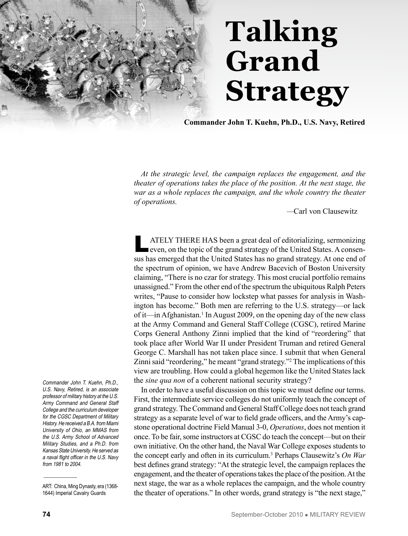

## **Talking Grand Strategy**

**Commander John T. Kuehn, Ph.D., U.S. Navy, Retired** 

*At the strategic level, the campaign replaces the engagement, and the theater of operations takes the place of the position. At the next stage, the war as a whole replaces the campaign, and the whole country the theater of operations.* 

*—*Carl von Clausewitz

ATELY THERE HAS been a great deal of editorializing, sermonizing even, on the topic of the grand strategy of the United States. A consensus has emerged that the United States has no grand strategy. At one end of the spectrum of opinion, we have Andrew Bacevich of Boston University claiming, "There is no czar for strategy. This most crucial portfolio remains unassigned." From the other end of the spectrum the ubiquitous Ralph Peters writes, "Pause to consider how lockstep what passes for analysis in Washington has become." Both men are referring to the U.S. strategy—or lack of it—in Afghanistan.<sup>1</sup> In August 2009, on the opening day of the new class at the Army Command and General Staff College (CGSC), retired Marine Corps General Anthony Zinni implied that the kind of "reordering" that took place after World War II under President Truman and retired General George C. Marshall has not taken place since. I submit that when General Zinni said "reordering," he meant "grand strategy."<sup>2</sup> The implications of this view are troubling. How could a global hegemon like the United States lack the *sine qua non* of a coherent national security strategy?

In order to have a useful discussion on this topic we must define our terms. First, the intermediate service colleges do not uniformly teach the concept of grand strategy. The Command and General Staff College does not teach grand strategy as a separate level of war to field grade officers, and the Army's capstone operational doctrine Field Manual 3-0, *Operations*, does not mention it once. To be fair, some instructors at CGSC do teach the concept—but on their own initiative. On the other hand, the Naval War College exposes students to the concept early and often in its curriculum.3 Perhaps Clausewitz's *On War* best defines grand strategy: "At the strategic level, the campaign replaces the engagement, and the theater of operations takes the place of the position. At the next stage, the war as a whole replaces the campaign, and the whole country the theater of operations." In other words, grand strategy is "the next stage,"

Commander John T. Kuehn, Ph.D., U.S. Navy, Retired, is an associate professor of military history at the U.S. Army Command and General Staff College and the curriculum developer for the CGSC Department of Military History. He received a B.A. from Miami University of Ohio, an MMAS from the U.S. Army School of Advanced Military Studies, and a Ph.D. from Kansas State University. He served as a naval flight officer in the U.S. Navy from 1981 to 2004.

\_\_\_\_\_\_\_\_\_\_\_\_\_

ART: China, Ming Dynasty, era (1368- 1644) Imperial Cavalry Guards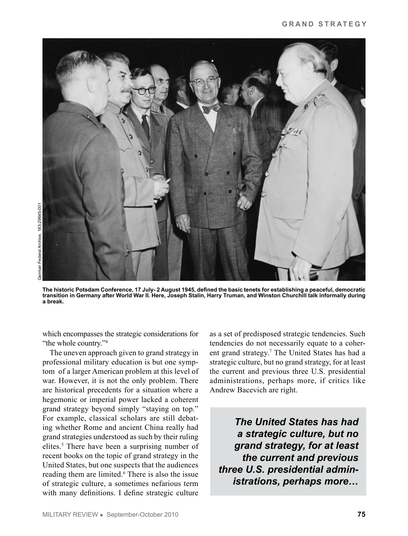

**The historic Potsdam Conference, 17 July- 2 August 1945, defined the basic tenets for establishing a peaceful, democratic transition in Germany after World War II. Here, Joseph Stalin, Harry Truman, and Winston Churchill talk informally during a break.** 

which encompasses the strategic considerations for "the whole country."<sup>4</sup>

The uneven approach given to grand strategy in professional military education is but one symptom of a larger American problem at this level of war. However, it is not the only problem. There are historical precedents for a situation where a hegemonic or imperial power lacked a coherent grand strategy beyond simply "staying on top." For example, classical scholars are still debating whether Rome and ancient China really had grand strategies understood as such by their ruling elites.<sup>5</sup> There have been a surprising number of recent books on the topic of grand strategy in the United States, but one suspects that the audiences reading them are limited.<sup>6</sup> There is also the issue of strategic culture, a sometimes nefarious term with many definitions. I define strategic culture

as a set of predisposed strategic tendencies. Such tendencies do not necessarily equate to a coherent grand strategy.7 The United States has had a strategic culture, but no grand strategy, for at least the current and previous three U.S. presidential administrations, perhaps more, if critics like Andrew Bacevich are right.

*The United States has had a strategic culture, but no grand strategy, for at least the current and previous three U.S. presidential administrations, perhaps more…*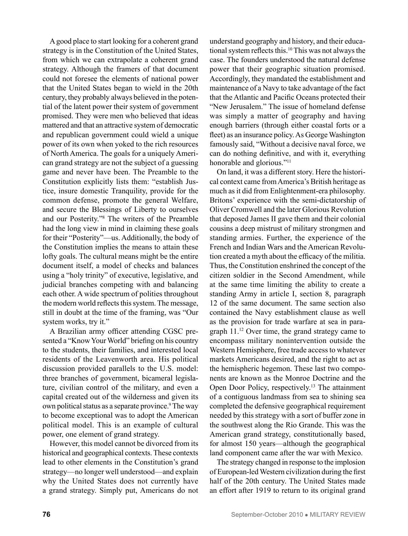A good place to start looking for a coherent grand strategy is in the Constitution of the United States, from which we can extrapolate a coherent grand strategy. Although the framers of that document could not foresee the elements of national power that the United States began to wield in the 20th century, they probably always believed in the potential of the latent power their system of government promised. They were men who believed that ideas mattered and that an attractive system of democratic and republican government could wield a unique power of its own when yoked to the rich resources of North America. The goals for a uniquely American grand strategy are not the subject of a guessing game and never have been. The Preamble to the Constitution explicitly lists them: "establish Justice, insure domestic Tranquility, provide for the common defense, promote the general Welfare, and secure the Blessings of Liberty to ourselves and our Posterity."<sup>8</sup> The writers of the Preamble had the long view in mind in claiming these goals for their "Posterity"—us. Additionally, the body of the Constitution implies the means to attain these lofty goals. The cultural means might be the entire document itself, a model of checks and balances using a "holy trinity" of executive, legislative, and judicial branches competing with and balancing each other. A wide spectrum of polities throughout the modern world reflects this system. The message, still in doubt at the time of the framing, was "Our system works, try it."

A Brazilian army officer attending CGSC presented a "Know Your World" briefing on his country to the students, their families, and interested local residents of the Leavenworth area. His political discussion provided parallels to the U.S. model: three branches of government, bicameral legislature, civilian control of the military, and even a capital created out of the wilderness and given its own political status as a separate province.<sup>9</sup> The way to become exceptional was to adopt the American political model. This is an example of cultural power, one element of grand strategy.

However, this model cannot be divorced from its historical and geographical contexts. These contexts lead to other elements in the Constitution's grand strategy—no longer well understood—and explain why the United States does not currently have a grand strategy. Simply put, Americans do not understand geography and history, and their educational system reflects this.10 This was not always the case. The founders understood the natural defense power that their geographic situation promised. Accordingly, they mandated the establishment and maintenance of a Navy to take advantage of the fact that the Atlantic and Pacific Oceans protected their "New Jerusalem." The issue of homeland defense was simply a matter of geography and having enough barriers (through either coastal forts or a fleet) as an insurance policy. As George Washington famously said, "Without a decisive naval force, we can do nothing definitive, and with it, everything honorable and glorious."<sup>11</sup>

On land, it was a different story. Here the historical context came from America's British heritage as much as it did from Enlightenment-era philosophy. Britons' experience with the semi-dictatorship of Oliver Cromwell and the later Glorious Revolution that deposed James II gave them and their colonial cousins a deep mistrust of military strongmen and standing armies. Further, the experience of the French and Indian Wars and the American Revolution created a myth about the efficacy of the militia. Thus, the Constitution enshrined the concept of the citizen soldier in the Second Amendment, while at the same time limiting the ability to create a standing Army in article I, section 8, paragraph 12 of the same document. The same section also contained the Navy establishment clause as well as the provision for trade warfare at sea in paragraph 11.12 Over time, the grand strategy came to encompass military nonintervention outside the Western Hemisphere, free trade access to whatever markets Americans desired, and the right to act as the hemispheric hegemon. These last two components are known as the Monroe Doctrine and the Open Door Policy, respectively.<sup>13</sup> The attainment of a contiguous landmass from sea to shining sea completed the defensive geographical requirement needed by this strategy with a sort of buffer zone in the southwest along the Rio Grande. This was the American grand strategy, constitutionally based, for almost 150 years—although the geographical land component came after the war with Mexico.

The strategy changed in response to the implosion of European-led Western civilization during the first half of the 20th century. The United States made an effort after 1919 to return to its original grand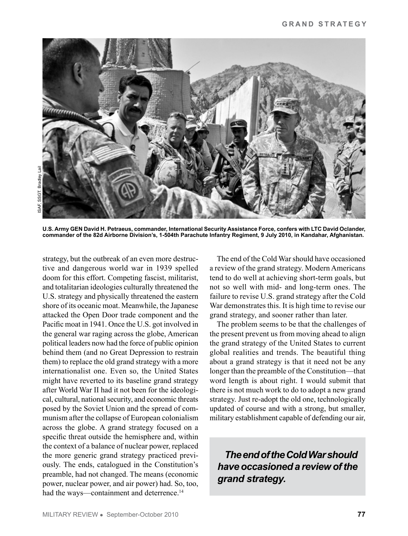

**U.S. Army GEN David H. Petraeus, commander, International Security Assistance Force, confers with LTC David Oclander, commander of the 82d Airborne Division's, 1-504th Parachute Infantry Regiment, 9 July 2010, in Kandahar, Afghanistan.** 

strategy, but the outbreak of an even more destructive and dangerous world war in 1939 spelled doom for this effort. Competing fascist, militarist, and totalitarian ideologies culturally threatened the U.S. strategy and physically threatened the eastern shore of its oceanic moat. Meanwhile, the Japanese attacked the Open Door trade component and the Pacific moat in 1941. Once the U.S. got involved in the general war raging across the globe, American political leaders now had the force of public opinion behind them (and no Great Depression to restrain them) to replace the old grand strategy with a more internationalist one. Even so, the United States might have reverted to its baseline grand strategy after World War II had it not been for the ideological, cultural, national security, and economic threats posed by the Soviet Union and the spread of communism after the collapse of European colonialism across the globe. A grand strategy focused on a specific threat outside the hemisphere and, within the context of a balance of nuclear power, replaced the more generic grand strategy practiced previously. The ends, catalogued in the Constitution's preamble, had not changed. The means (economic power, nuclear power, and air power) had. So, too, had the ways—containment and deterrence.<sup>14</sup>

The end of the Cold War should have occasioned a review of the grand strategy. Modern Americans tend to do well at achieving short-term goals, but not so well with mid- and long-term ones. The failure to revise U.S. grand strategy after the Cold War demonstrates this. It is high time to revise our grand strategy, and sooner rather than later.

The problem seems to be that the challenges of the present prevent us from moving ahead to align the grand strategy of the United States to current global realities and trends. The beautiful thing about a grand strategy is that it need not be any longer than the preamble of the Constitution—that word length is about right. I would submit that there is not much work to do to adopt a new grand strategy. Just re-adopt the old one, technologically updated of course and with a strong, but smaller, military establishment capable of defending our air,

*The end of the Cold War should have occasioned a review of the grand strategy.*